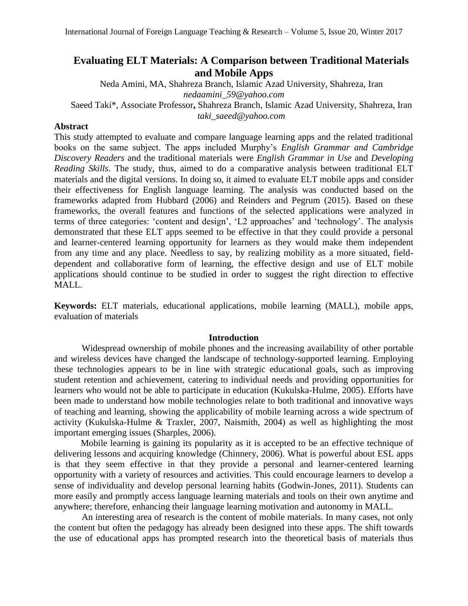# **Evaluating ELT Materials: A Comparison between Traditional Materials and Mobile Apps**

Neda Amini, MA, Shahreza Branch, Islamic Azad University, Shahreza, Iran *nedaamini\_59@yahoo.com* Saeed Taki\*, Associate Professor**,** Shahreza Branch, Islamic Azad University, Shahreza, Iran *taki\_saeed@yahoo.com*

# **Abstract**

This study attempted to evaluate and compare language learning apps and the related traditional books on the same subject. The apps included Murphy's *English Grammar and Cambridge Discovery Readers* and the traditional materials were *English Grammar in Use* and *Developing Reading Skills*. The study, thus, aimed to do a comparative analysis between traditional ELT materials and the digital versions. In doing so, it aimed to evaluate ELT mobile apps and consider their effectiveness for English language learning. The analysis was conducted based on the frameworks adapted from Hubbard (2006) and Reinders and Pegrum (2015). Based on these frameworks, the overall features and functions of the selected applications were analyzed in terms of three categories: 'content and design', 'L2 approaches' and 'technology'. The analysis demonstrated that these ELT apps seemed to be effective in that they could provide a personal and learner-centered learning opportunity for learners as they would make them independent from any time and any place. Needless to say, by realizing mobility as a more situated, fielddependent and collaborative form of learning, the effective design and use of ELT mobile applications should continue to be studied in order to suggest the right direction to effective MALL.

**Keywords:** ELT materials, educational applications, mobile learning (MALL), mobile apps, evaluation of materials

# **Introduction**

Widespread ownership of mobile phones and the increasing availability of other portable and wireless devices have changed the landscape of technology-supported learning. Employing these technologies appears to be in line with strategic educational goals, such as improving student retention and achievement, catering to individual needs and providing opportunities for learners who would not be able to participate in education (Kukulska-Hulme, 2005). Efforts have been made to understand how mobile technologies relate to both traditional and innovative ways of teaching and learning, showing the applicability of mobile learning across a wide spectrum of activity (Kukulska-Hulme & Traxler, 2007, Naismith, 2004) as well as highlighting the most important emerging issues (Sharples, 2006).

 Mobile learning is gaining its popularity as it is accepted to be an effective technique of delivering lessons and acquiring knowledge (Chinnery, 2006). What is powerful about ESL apps is that they seem effective in that they provide a personal and learner-centered learning opportunity with a variety of resources and activities. This could encourage learners to develop a sense of individuality and develop personal learning habits (Godwin-Jones, 2011). Students can more easily and promptly access language learning materials and tools on their own anytime and anywhere; therefore, enhancing their language learning motivation and autonomy in MALL.

An interesting area of research is the content of mobile materials. In many cases, not only the content but often the pedagogy has already been designed into these apps. The shift towards the use of educational apps has prompted research into the theoretical basis of materials thus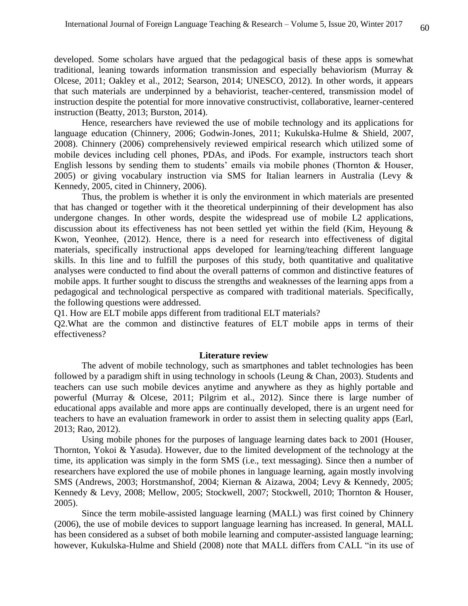developed. Some scholars have argued that the pedagogical basis of these apps is somewhat traditional, leaning towards information transmission and especially behaviorism (Murray & Olcese, 2011; Oakley et al., 2012; Searson, 2014; UNESCO, 2012). In other words, it appears that such materials are underpinned by a behaviorist, teacher-centered, transmission model of instruction despite the potential for more innovative constructivist, collaborative, learner-centered instruction (Beatty, 2013; Burston, 2014).

Hence, researchers have reviewed the use of mobile technology and its applications for language education (Chinnery, 2006; Godwin-Jones, 2011; Kukulska-Hulme & Shield, 2007, 2008). Chinnery (2006) comprehensively reviewed empirical research which utilized some of mobile devices including cell phones, PDAs, and iPods. For example, instructors teach short English lessons by sending them to students' emails via mobile phones (Thornton & Houser, 2005) or giving vocabulary instruction via SMS for Italian learners in Australia (Levy & Kennedy, 2005, cited in Chinnery, 2006).

Thus, the problem is whether it is only the environment in which materials are presented that has changed or together with it the theoretical underpinning of their development has also undergone changes. In other words, despite the widespread use of mobile L2 applications, discussion about its effectiveness has not been settled yet within the field (Kim, Heyoung & Kwon, Yeonhee, (2012). Hence, there is a need for research into effectiveness of digital materials, specifically instructional apps developed for learning/teaching different language skills. In this line and to fulfill the purposes of this study, both quantitative and qualitative analyses were conducted to find about the overall patterns of common and distinctive features of mobile apps. It further sought to discuss the strengths and weaknesses of the learning apps from a pedagogical and technological perspective as compared with traditional materials. Specifically, the following questions were addressed.

Q1. How are ELT mobile apps different from traditional ELT materials?

Q2.What are the common and distinctive features of ELT mobile apps in terms of their effectiveness?

## **Literature review**

The advent of mobile technology, such as smartphones and tablet technologies has been followed by a paradigm shift in using technology in schools (Leung & Chan, 2003). Students and teachers can use such mobile devices anytime and anywhere as they as highly portable and powerful (Murray & Olcese, 2011; Pilgrim et al., 2012). Since there is large number of educational apps available and more apps are continually developed, there is an urgent need for teachers to have an evaluation framework in order to assist them in selecting quality apps (Earl, 2013; Rao, 2012).

Using mobile phones for the purposes of language learning dates back to 2001 (Houser, Thornton, Yokoi & Yasuda). However, due to the limited development of the technology at the time, its application was simply in the form SMS (i.e., text messaging). Since then a number of researchers have explored the use of mobile phones in language learning, again mostly involving SMS (Andrews, 2003; Horstmanshof, 2004; Kiernan & Aizawa, 2004; Levy & Kennedy, 2005; Kennedy & Levy, 2008; Mellow, 2005; Stockwell, 2007; Stockwell, 2010; Thornton & Houser, 2005).

Since the term mobile-assisted language learning (MALL) was first coined by Chinnery (2006), the use of mobile devices to support language learning has increased. In general, MALL has been considered as a subset of both mobile learning and computer-assisted language learning; however, Kukulska-Hulme and Shield (2008) note that MALL differs from CALL "in its use of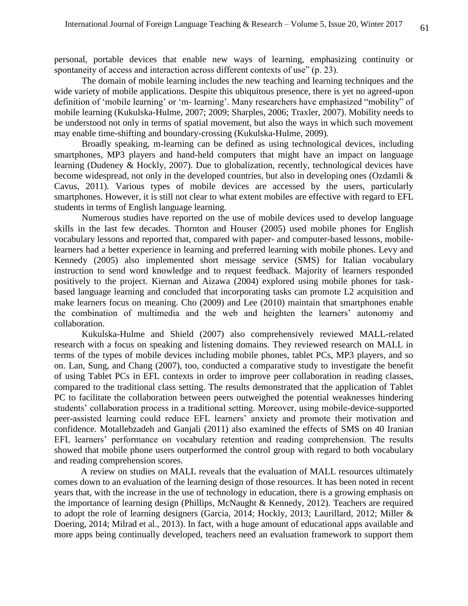personal, portable devices that enable new ways of learning, emphasizing continuity or spontaneity of access and interaction across different contexts of use" (p. 23).

The domain of mobile learning includes the new teaching and learning techniques and the wide variety of mobile applications. Despite this ubiquitous presence, there is yet no agreed-upon definition of 'mobile learning' or 'm- learning'. Many researchers have emphasized "mobility" of mobile learning (Kukulska-Hulme, 2007; 2009; Sharples, 2006; Traxler, 2007). Mobility needs to be understood not only in terms of spatial movement, but also the ways in which such movement may enable time-shifting and boundary-crossing (Kukulska-Hulme, 2009).

Broadly speaking, m-learning can be defined as using technological devices, including smartphones, MP3 players and hand-held computers that might have an impact on language learning (Dudeney & Hockly, 2007). Due to globalization, recently, technological devices have become widespread, not only in the developed countries, but also in developing ones (Ozdamli & Cavus, 2011). Various types of mobile devices are accessed by the users, particularly smartphones. However, it is still not clear to what extent mobiles are effective with regard to EFL students in terms of English language learning.

Numerous studies have reported on the use of mobile devices used to develop language skills in the last few decades. Thornton and Houser (2005) used mobile phones for English vocabulary lessons and reported that, compared with paper- and computer-based lessons, mobilelearners had a better experience in learning and preferred learning with mobile phones. Levy and Kennedy (2005) also implemented short message service (SMS) for Italian vocabulary instruction to send word knowledge and to request feedback. Majority of learners responded positively to the project. Kiernan and Aizawa (2004) explored using mobile phones for taskbased language learning and concluded that incorporating tasks can promote L2 acquisition and make learners focus on meaning. Cho (2009) and Lee (2010) maintain that smartphones enable the combination of multimedia and the web and heighten the learners' autonomy and collaboration.

Kukulska-Hulme and Shield (2007) also comprehensively reviewed MALL-related research with a focus on speaking and listening domains. They reviewed research on MALL in terms of the types of mobile devices including mobile phones, tablet PCs, MP3 players, and so on. Lan, Sung, and Chang (2007), too, conducted a comparative study to investigate the benefit of using Tablet PCs in EFL contexts in order to improve peer collaboration in reading classes, compared to the traditional class setting. The results demonstrated that the application of Tablet PC to facilitate the collaboration between peers outweighed the potential weaknesses hindering students' collaboration process in a traditional setting. Moreover, using mobile-device-supported peer-assisted learning could reduce EFL learners' anxiety and promote their motivation and confidence. Motallebzadeh and Ganjali (2011) also examined the effects of SMS on 40 Iranian EFL learners' performance on vocabulary retention and reading comprehension. The results showed that mobile phone users outperformed the control group with regard to both vocabulary and reading comprehension scores.

 A review on studies on MALL reveals that the evaluation of MALL resources ultimately comes down to an evaluation of the learning design of those resources. It has been noted in recent years that, with the increase in the use of technology in education, there is a growing emphasis on the importance of learning design (Phillips, McNaught & Kennedy, 2012). Teachers are required to adopt the role of learning designers (Garcia, 2014; Hockly, 2013; Laurillard, 2012; Miller & Doering, 2014; Milrad et al., 2013). In fact, with a huge amount of educational apps available and more apps being continually developed, teachers need an evaluation framework to support them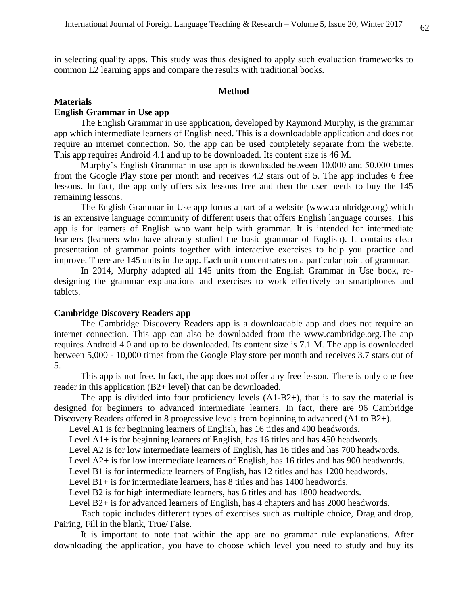in selecting quality apps. This study was thus designed to apply such evaluation frameworks to common L2 learning apps and compare the results with traditional books.

#### **Method**

## **Materials**

## **English Grammar in Use app**

 The English Grammar in use application, developed by Raymond Murphy, is the grammar app which intermediate learners of English need. This is a downloadable application and does not require an internet connection. So, the app can be used completely separate from the website. This app requires Android 4.1 and up to be downloaded. Its content size is 46 M.

 Murphy's English Grammar in use app is downloaded between 10.000 and 50.000 times from the Google Play store per month and receives 4.2 stars out of 5. The app includes 6 free lessons. In fact, the app only offers six lessons free and then the user needs to buy the 145 remaining lessons.

 The English Grammar in Use app forms a part of a website (www.cambridge.org) which is an extensive language community of different users that offers English language courses. This app is for learners of English who want help with grammar. It is intended for intermediate learners (learners who have already studied the basic grammar of English). It contains clear presentation of grammar points together with interactive exercises to help you practice and improve. There are 145 units in the app. Each unit concentrates on a particular point of grammar.

 In 2014, Murphy adapted all 145 units from the English Grammar in Use book, redesigning the grammar explanations and exercises to work effectively on smartphones and tablets.

#### **Cambridge Discovery Readers app**

 The Cambridge Discovery Readers app is a downloadable app and does not require an internet connection. This app can also be downloaded from the www.cambridge.org.The app requires Android 4.0 and up to be downloaded. Its content size is 7.1 M. The app is downloaded between 5,000 - 10,000 times from the Google Play store per month and receives 3.7 stars out of 5.

 This app is not free. In fact, the app does not offer any free lesson. There is only one free reader in this application (B2+ level) that can be downloaded.

 The app is divided into four proficiency levels (A1-B2+), that is to say the material is designed for beginners to advanced intermediate learners. In fact, there are 96 Cambridge Discovery Readers offered in 8 progressive levels from beginning to advanced (A1 to B2+).

Level A1 is for beginning learners of English, has 16 titles and 400 headwords.

Level A1+ is for beginning learners of English, has 16 titles and has 450 headwords.

Level A2 is for low intermediate learners of English, has 16 titles and has 700 headwords.

Level A2+ is for low intermediate learners of English, has 16 titles and has 900 headwords.

Level B1 is for intermediate learners of English, has 12 titles and has 1200 headwords.

Level B1+ is for intermediate learners, has 8 titles and has 1400 headwords.

Level B2 is for high intermediate learners, has 6 titles and has 1800 headwords.

Level B2+ is for advanced learners of English, has 4 chapters and has 2000 headwords.

Each topic includes different types of exercises such as multiple choice, Drag and drop, Pairing, Fill in the blank, True/ False.

 It is important to note that within the app are no grammar rule explanations. After downloading the application, you have to choose which level you need to study and buy its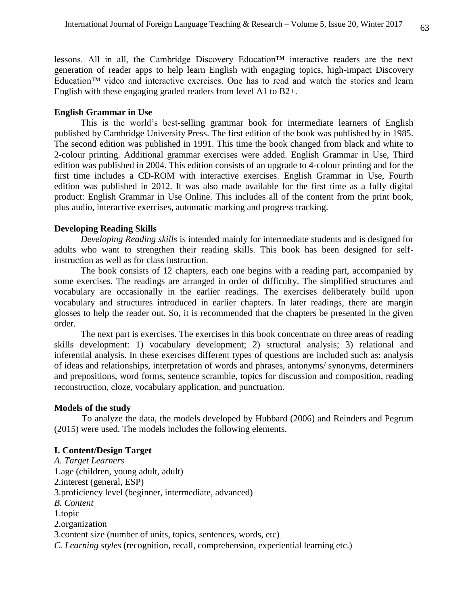lessons. All in all, the Cambridge Discovery Education™ interactive readers are the next generation of reader apps to help learn English with engaging topics, high-impact Discovery Education™ video and interactive exercises. One has to read and watch the stories and learn English with these engaging graded readers from level A1 to B2+.

#### **English Grammar in Use**

 This is the world's best-selling grammar book for intermediate learners of English published by Cambridge University Press. The first edition of the book was published by in 1985. The second edition was published in 1991. This time the book changed from black and white to 2-colour printing. Additional grammar exercises were added. English Grammar in Use, Third edition was published in 2004. This edition consists of an upgrade to 4-colour printing and for the first time includes a CD-ROM with interactive exercises. English Grammar in Use, Fourth edition was published in 2012. It was also made available for the first time as a fully digital product: English Grammar in Use Online. This includes all of the content from the print book, plus audio, interactive exercises, automatic marking and progress tracking.

### **Developing Reading Skills**

 *Developing Reading skills* is intended mainly for intermediate students and is designed for adults who want to strengthen their reading skills. This book has been designed for selfinstruction as well as for class instruction.

 The book consists of 12 chapters, each one begins with a reading part, accompanied by some exercises. The readings are arranged in order of difficulty. The simplified structures and vocabulary are occasionally in the earlier readings. The exercises deliberately build upon vocabulary and structures introduced in earlier chapters. In later readings, there are margin glosses to help the reader out. So, it is recommended that the chapters be presented in the given order.

 The next part is exercises. The exercises in this book concentrate on three areas of reading skills development: 1) vocabulary development; 2) structural analysis; 3) relational and inferential analysis. In these exercises different types of questions are included such as: analysis of ideas and relationships, interpretation of words and phrases, antonyms/ synonyms, determiners and prepositions, word forms, sentence scramble, topics for discussion and composition, reading reconstruction, cloze, vocabulary application, and punctuation.

### **Models of the study**

To analyze the data, the models developed by Hubbard (2006) and Reinders and Pegrum (2015) were used. The models includes the following elements.

## **I. Content/Design Target**

*A. Target Learners* 1.age (children, young adult, adult) 2.interest (general, ESP) 3.proficiency level (beginner, intermediate, advanced) *B. Content* 1.topic 2.organization 3.content size (number of units, topics, sentences, words, etc) *C. Learning styles* (recognition, recall, comprehension, experiential learning etc.)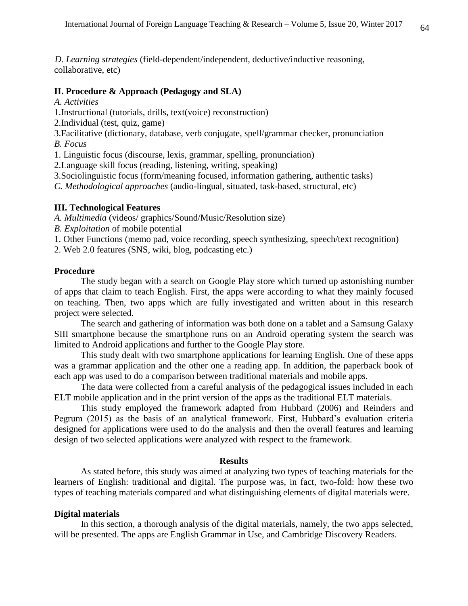*D. Learning strategies* (field-dependent/independent, deductive/inductive reasoning, collaborative, etc)

## **II. Procedure & Approach (Pedagogy and SLA)**

- *A. Activities*
- 1.Instructional (tutorials, drills, text(voice) reconstruction)
- 2.Individual (test, quiz, game)
- 3.Facilitative (dictionary, database, verb conjugate, spell/grammar checker, pronunciation *B. Focus*
- 1. Linguistic focus (discourse, lexis, grammar, spelling, pronunciation)
- 2.Language skill focus (reading, listening, writing, speaking)
- 3.Sociolinguistic focus (form/meaning focused, information gathering, authentic tasks)
- *C. Methodological approaches* (audio-lingual, situated, task-based, structural, etc)

# **III. Technological Features**

- *A. Multimedia* (videos/ graphics/Sound/Music/Resolution size)
- *B. Exploitation* of mobile potential
- 1. Other Functions (memo pad, voice recording, speech synthesizing, speech/text recognition)
- 2. Web 2.0 features (SNS, wiki, blog, podcasting etc.)

#### **Procedure**

 The study began with a search on Google Play store which turned up astonishing number of apps that claim to teach English. First, the apps were according to what they mainly focused on teaching. Then, two apps which are fully investigated and written about in this research project were selected.

 The search and gathering of information was both done on a tablet and a Samsung Galaxy SIII smartphone because the smartphone runs on an Android operating system the search was limited to Android applications and further to the Google Play store.

 This study dealt with two smartphone applications for learning English. One of these apps was a grammar application and the other one a reading app. In addition, the paperback book of each app was used to do a comparison between traditional materials and mobile apps.

 The data were collected from a careful analysis of the pedagogical issues included in each ELT mobile application and in the print version of the apps as the traditional ELT materials.

 This study employed the framework adapted from Hubbard (2006) and Reinders and Pegrum (2015) as the basis of an analytical framework. First, Hubbard's evaluation criteria designed for applications were used to do the analysis and then the overall features and learning design of two selected applications were analyzed with respect to the framework.

#### **Results**

 As stated before, this study was aimed at analyzing two types of teaching materials for the learners of English: traditional and digital. The purpose was, in fact, two-fold: how these two types of teaching materials compared and what distinguishing elements of digital materials were.

#### **Digital materials**

 In this section, a thorough analysis of the digital materials, namely, the two apps selected, will be presented. The apps are English Grammar in Use, and Cambridge Discovery Readers.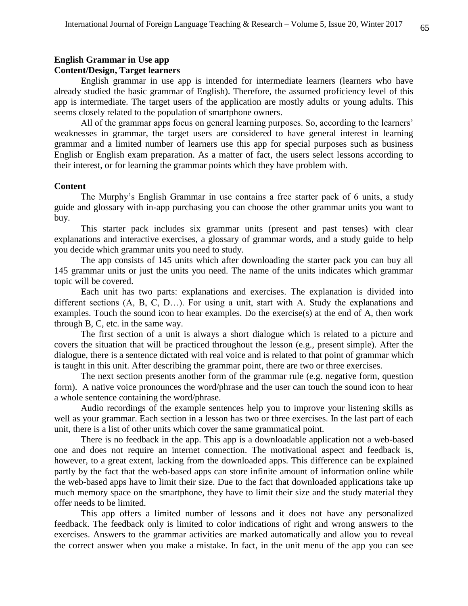# **English Grammar in Use app**

## **Content/Design, Target learners**

 English grammar in use app is intended for intermediate learners (learners who have already studied the basic grammar of English). Therefore, the assumed proficiency level of this app is intermediate. The target users of the application are mostly adults or young adults. This seems closely related to the population of smartphone owners.

 All of the grammar apps focus on general learning purposes. So, according to the learners' weaknesses in grammar, the target users are considered to have general interest in learning grammar and a limited number of learners use this app for special purposes such as business English or English exam preparation. As a matter of fact, the users select lessons according to their interest, or for learning the grammar points which they have problem with.

#### **Content**

 The Murphy's English Grammar in use contains a free starter pack of 6 units, a study guide and glossary with in-app purchasing you can choose the other grammar units you want to buy.

 This starter pack includes six grammar units (present and past tenses) with clear explanations and interactive exercises, a glossary of grammar words, and a study guide to help you decide which grammar units you need to study.

 The app consists of 145 units which after downloading the starter pack you can buy all 145 grammar units or just the units you need. The name of the units indicates which grammar topic will be covered.

 Each unit has two parts: explanations and exercises. The explanation is divided into different sections (A, B, C, D…). For using a unit, start with A. Study the explanations and examples. Touch the sound icon to hear examples. Do the exercise(s) at the end of A, then work through B, C, etc. in the same way.

 The first section of a unit is always a short dialogue which is related to a picture and covers the situation that will be practiced throughout the lesson (e.g., present simple). After the dialogue, there is a sentence dictated with real voice and is related to that point of grammar which is taught in this unit. After describing the grammar point, there are two or three exercises.

 The next section presents another form of the grammar rule (e.g. negative form, question form). A native voice pronounces the word/phrase and the user can touch the sound icon to hear a whole sentence containing the word/phrase.

 Audio recordings of the example sentences help you to improve your listening skills as well as your grammar. Each section in a lesson has two or three exercises. In the last part of each unit, there is a list of other units which cover the same grammatical point.

 There is no feedback in the app. This app is a downloadable application not a web-based one and does not require an internet connection. The motivational aspect and feedback is, however, to a great extent, lacking from the downloaded apps. This difference can be explained partly by the fact that the web-based apps can store infinite amount of information online while the web-based apps have to limit their size. Due to the fact that downloaded applications take up much memory space on the smartphone, they have to limit their size and the study material they offer needs to be limited.

 This app offers a limited number of lessons and it does not have any personalized feedback. The feedback only is limited to color indications of right and wrong answers to the exercises. Answers to the grammar activities are marked automatically and allow you to reveal the correct answer when you make a mistake. In fact, in the unit menu of the app you can see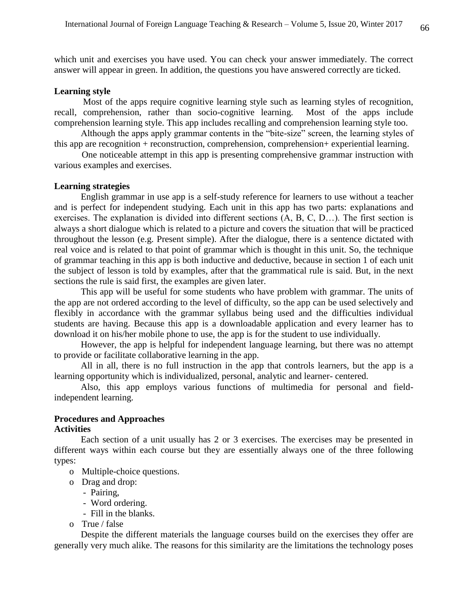which unit and exercises you have used. You can check your answer immediately. The correct answer will appear in green. In addition, the questions you have answered correctly are ticked.

## **Learning style**

 Most of the apps require cognitive learning style such as learning styles of recognition, recall, comprehension, rather than socio-cognitive learning. Most of the apps include comprehension learning style. This app includes recalling and comprehension learning style too.

 Although the apps apply grammar contents in the "bite-size" screen, the learning styles of this app are recognition + reconstruction, comprehension, comprehension+ experiential learning.

One noticeable attempt in this app is presenting comprehensive grammar instruction with various examples and exercises.

#### **Learning strategies**

 English grammar in use app is a self-study reference for learners to use without a teacher and is perfect for independent studying. Each unit in this app has two parts: explanations and exercises. The explanation is divided into different sections (A, B, C, D…). The first section is always a short dialogue which is related to a picture and covers the situation that will be practiced throughout the lesson (e.g. Present simple). After the dialogue, there is a sentence dictated with real voice and is related to that point of grammar which is thought in this unit. So, the technique of grammar teaching in this app is both inductive and deductive, because in section 1 of each unit the subject of lesson is told by examples, after that the grammatical rule is said. But, in the next sections the rule is said first, the examples are given later.

 This app will be useful for some students who have problem with grammar. The units of the app are not ordered according to the level of difficulty, so the app can be used selectively and flexibly in accordance with the grammar syllabus being used and the difficulties individual students are having. Because this app is a downloadable application and every learner has to download it on his/her mobile phone to use, the app is for the student to use individually.

 However, the app is helpful for independent language learning, but there was no attempt to provide or facilitate collaborative learning in the app.

 All in all, there is no full instruction in the app that controls learners, but the app is a learning opportunity which is individualized, personal, analytic and learner- centered.

 Also, this app employs various functions of multimedia for personal and fieldindependent learning.

## **Procedures and Approaches**

## **Activities**

 Each section of a unit usually has 2 or 3 exercises. The exercises may be presented in different ways within each course but they are essentially always one of the three following types:

- o Multiple-choice questions.
- o Drag and drop:
	- Pairing,
	- Word ordering.
	- Fill in the blanks.
- o True / false

 Despite the different materials the language courses build on the exercises they offer are generally very much alike. The reasons for this similarity are the limitations the technology poses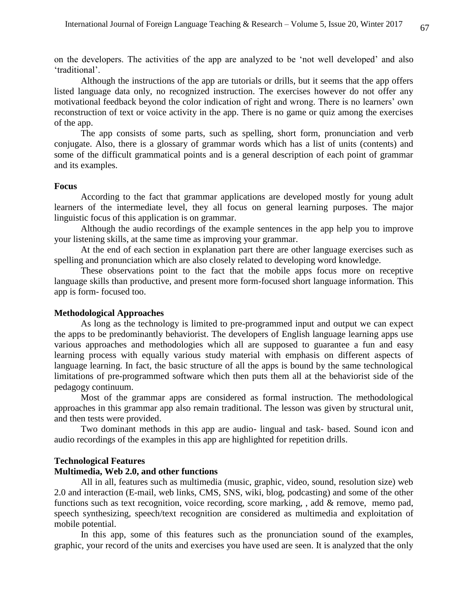on the developers. The activities of the app are analyzed to be 'not well developed' and also 'traditional'.

 Although the instructions of the app are tutorials or drills, but it seems that the app offers listed language data only, no recognized instruction. The exercises however do not offer any motivational feedback beyond the color indication of right and wrong. There is no learners' own reconstruction of text or voice activity in the app. There is no game or quiz among the exercises of the app.

 The app consists of some parts, such as spelling, short form, pronunciation and verb conjugate. Also, there is a glossary of grammar words which has a list of units (contents) and some of the difficult grammatical points and is a general description of each point of grammar and its examples.

#### **Focus**

 According to the fact that grammar applications are developed mostly for young adult learners of the intermediate level, they all focus on general learning purposes. The major linguistic focus of this application is on grammar.

 Although the audio recordings of the example sentences in the app help you to improve your listening skills, at the same time as improving your grammar.

 At the end of each section in explanation part there are other language exercises such as spelling and pronunciation which are also closely related to developing word knowledge.

 These observations point to the fact that the mobile apps focus more on receptive language skills than productive, and present more form-focused short language information. This app is form- focused too.

#### **Methodological Approaches**

 As long as the technology is limited to pre-programmed input and output we can expect the apps to be predominantly behaviorist. The developers of English language learning apps use various approaches and methodologies which all are supposed to guarantee a fun and easy learning process with equally various study material with emphasis on different aspects of language learning. In fact, the basic structure of all the apps is bound by the same technological limitations of pre-programmed software which then puts them all at the behaviorist side of the pedagogy continuum.

 Most of the grammar apps are considered as formal instruction. The methodological approaches in this grammar app also remain traditional. The lesson was given by structural unit, and then tests were provided.

 Two dominant methods in this app are audio- lingual and task- based. Sound icon and audio recordings of the examples in this app are highlighted for repetition drills.

## **Technological Features**

# **Multimedia, Web 2.0, and other functions**

 All in all, features such as multimedia (music, graphic, video, sound, resolution size) web 2.0 and interaction (E-mail, web links, CMS, SNS, wiki, blog, podcasting) and some of the other functions such as text recognition, voice recording, score marking, , add & remove, memo pad, speech synthesizing, speech/text recognition are considered as multimedia and exploitation of mobile potential.

 In this app, some of this features such as the pronunciation sound of the examples, graphic, your record of the units and exercises you have used are seen. It is analyzed that the only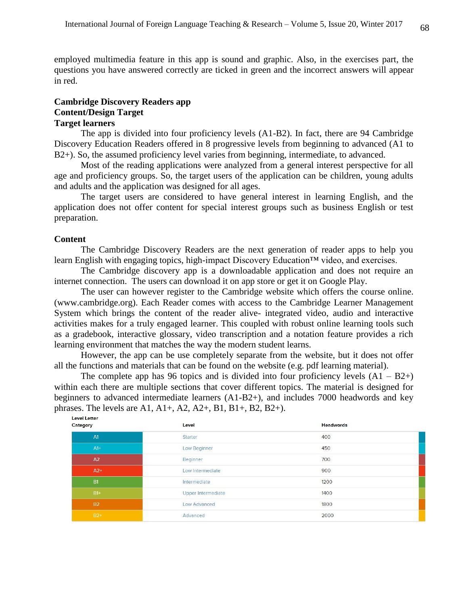employed multimedia feature in this app is sound and graphic. Also, in the exercises part, the questions you have answered correctly are ticked in green and the incorrect answers will appear in red.

## **Cambridge Discovery Readers app Content/Design Target Target learners**

 The app is divided into four proficiency levels (A1-B2). In fact, there are 94 Cambridge Discovery Education Readers offered in 8 progressive levels from beginning to advanced (A1 to B2+). So, the assumed proficiency level varies from beginning, intermediate, to advanced.

 Most of the reading applications were analyzed from a general interest perspective for all age and proficiency groups. So, the target users of the application can be children, young adults and adults and the application was designed for all ages.

 The target users are considered to have general interest in learning English, and the application does not offer content for special interest groups such as business English or test preparation.

## **Content**

 The Cambridge Discovery Readers are the next generation of reader apps to help you learn English with engaging topics, high-impact Discovery Education™ video, and exercises.

 The Cambridge discovery app is a downloadable application and does not require an internet connection. The users can download it on app store or get it on Google Play.

 The user can however register to the Cambridge website which offers the course online. (www.cambridge.org). Each Reader comes with access to the Cambridge Learner Management System which brings the content of the reader alive- integrated video, audio and interactive activities makes for a truly engaged learner. This coupled with robust online learning tools such as a gradebook, interactive glossary, video transcription and a notation feature provides a rich learning environment that matches the way the modern student learns.

 However, the app can be use completely separate from the website, but it does not offer all the functions and materials that can be found on the website (e.g. pdf learning material).

The complete app has 96 topics and is divided into four proficiency levels  $(A1 - B2+)$ within each there are multiple sections that cover different topics. The material is designed for beginners to advanced intermediate learners (A1-B2+), and includes 7000 headwords and key phrases. The levels are A1, A1+, A2, A2+, B1, B1+, B2, B2+).

| Level                     | <b>Headwords</b> |
|---------------------------|------------------|
| Starter                   | 400              |
| Low Beginner              | 450              |
| Beginner                  | 700              |
| Low Intermediate          | 900              |
| Intermediate              | 1200             |
| <b>Upper Intermediate</b> | 1400             |
| Low Advanced              | 1800             |
| Advanced                  | 2000             |
|                           |                  |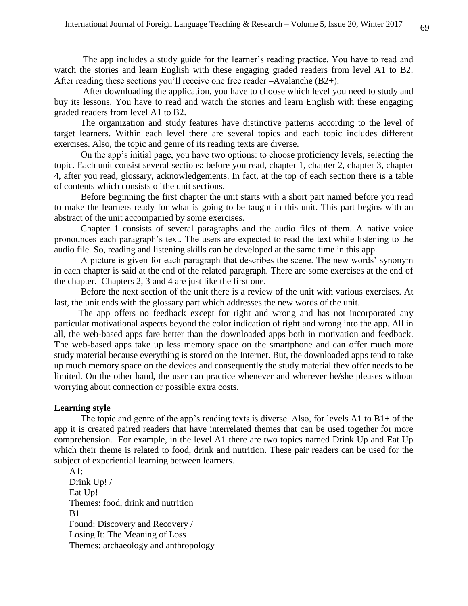The app includes a study guide for the learner's reading practice. You have to read and watch the stories and learn English with these engaging graded readers from level A1 to B2. After reading these sections you'll receive one free reader –Avalanche (B2+).

 After downloading the application, you have to choose which level you need to study and buy its lessons. You have to read and watch the stories and learn English with these engaging graded readers from level A1 to B2.

 The organization and study features have distinctive patterns according to the level of target learners. Within each level there are several topics and each topic includes different exercises. Also, the topic and genre of its reading texts are diverse.

 On the app's initial page, you have two options: to choose proficiency levels, selecting the topic. Each unit consist several sections: before you read, chapter 1, chapter 2, chapter 3, chapter 4, after you read, glossary, acknowledgements. In fact, at the top of each section there is a table of contents which consists of the unit sections.

 Before beginning the first chapter the unit starts with a short part named before you read to make the learners ready for what is going to be taught in this unit. This part begins with an abstract of the unit accompanied by some exercises.

 Chapter 1 consists of several paragraphs and the audio files of them. A native voice pronounces each paragraph's text. The users are expected to read the text while listening to the audio file. So, reading and listening skills can be developed at the same time in this app.

 A picture is given for each paragraph that describes the scene. The new words' synonym in each chapter is said at the end of the related paragraph. There are some exercises at the end of the chapter. Chapters 2, 3 and 4 are just like the first one.

 Before the next section of the unit there is a review of the unit with various exercises. At last, the unit ends with the glossary part which addresses the new words of the unit.

 The app offers no feedback except for right and wrong and has not incorporated any particular motivational aspects beyond the color indication of right and wrong into the app. All in all, the web-based apps fare better than the downloaded apps both in motivation and feedback. The web-based apps take up less memory space on the smartphone and can offer much more study material because everything is stored on the Internet. But, the downloaded apps tend to take up much memory space on the devices and consequently the study material they offer needs to be limited. On the other hand, the user can practice whenever and wherever he/she pleases without worrying about connection or possible extra costs.

### **Learning style**

 The topic and genre of the app's reading texts is diverse. Also, for levels A1 to B1+ of the app it is created paired readers that have interrelated themes that can be used together for more comprehension. For example, in the level A1 there are two topics named Drink Up and Eat Up which their theme is related to food, drink and nutrition. These pair readers can be used for the subject of experiential learning between learners.

A1: Drink Up! / Eat Up! Themes: food, drink and nutrition  $B1$ Found: Discovery and Recovery / Losing It: The Meaning of Loss Themes: archaeology and anthropology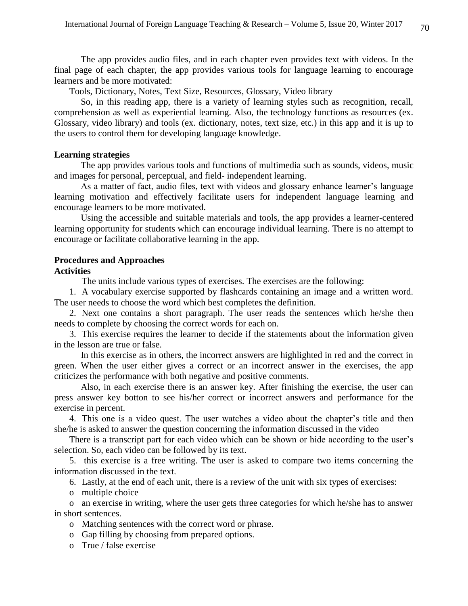The app provides audio files, and in each chapter even provides text with videos. In the final page of each chapter, the app provides various tools for language learning to encourage learners and be more motivated:

Tools, Dictionary, Notes, Text Size, Resources, Glossary, Video library

 So, in this reading app, there is a variety of learning styles such as recognition, recall, comprehension as well as experiential learning. Also, the technology functions as resources (ex. Glossary, video library) and tools (ex. dictionary, notes, text size, etc.) in this app and it is up to the users to control them for developing language knowledge.

#### **Learning strategies**

 The app provides various tools and functions of multimedia such as sounds, videos, music and images for personal, perceptual, and field- independent learning.

 As a matter of fact, audio files, text with videos and glossary enhance learner's language learning motivation and effectively facilitate users for independent language learning and encourage learners to be more motivated.

 Using the accessible and suitable materials and tools, the app provides a learner-centered learning opportunity for students which can encourage individual learning. There is no attempt to encourage or facilitate collaborative learning in the app.

## **Procedures and Approaches**

#### **Activities**

The units include various types of exercises. The exercises are the following:

1. A vocabulary exercise supported by flashcards containing an image and a written word. The user needs to choose the word which best completes the definition.

2. Next one contains a short paragraph. The user reads the sentences which he/she then needs to complete by choosing the correct words for each on.

3. This exercise requires the learner to decide if the statements about the information given in the lesson are true or false.

 In this exercise as in others, the incorrect answers are highlighted in red and the correct in green. When the user either gives a correct or an incorrect answer in the exercises, the app criticizes the performance with both negative and positive comments.

 Also, in each exercise there is an answer key. After finishing the exercise, the user can press answer key botton to see his/her correct or incorrect answers and performance for the exercise in percent.

4. This one is a video quest. The user watches a video about the chapter's title and then she/he is asked to answer the question concerning the information discussed in the video

There is a transcript part for each video which can be shown or hide according to the user's selection. So, each video can be followed by its text.

5. this exercise is a free writing. The user is asked to compare two items concerning the information discussed in the text.

6. Lastly, at the end of each unit, there is a review of the unit with six types of exercises:

o multiple choice

o an exercise in writing, where the user gets three categories for which he/she has to answer in short sentences.

- o Matching sentences with the correct word or phrase.
- o Gap filling by choosing from prepared options.
- o True / false exercise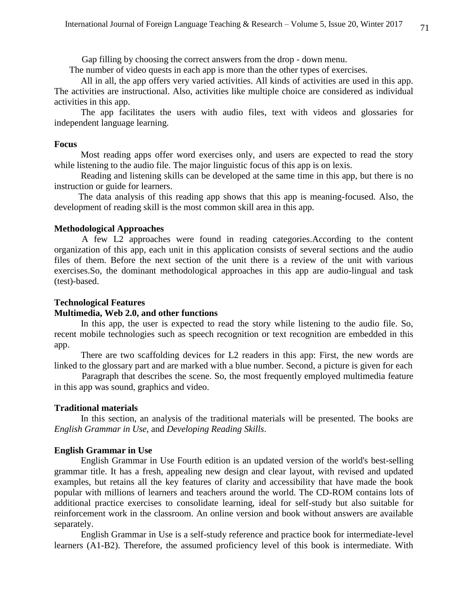Gap filling by choosing the correct answers from the drop - down menu.

The number of video quests in each app is more than the other types of exercises.

 All in all, the app offers very varied activities. All kinds of activities are used in this app. The activities are instructional. Also, activities like multiple choice are considered as individual activities in this app.

 The app facilitates the users with audio files, text with videos and glossaries for independent language learning.

#### **Focus**

 Most reading apps offer word exercises only, and users are expected to read the story while listening to the audio file. The major linguistic focus of this app is on lexis.

 Reading and listening skills can be developed at the same time in this app, but there is no instruction or guide for learners.

 The data analysis of this reading app shows that this app is meaning-focused. Also, the development of reading skill is the most common skill area in this app.

#### **Methodological Approaches**

A few L2 approaches were found in reading categories.According to the content organization of this app, each unit in this application consists of several sections and the audio files of them. Before the next section of the unit there is a review of the unit with various exercises.So, the dominant methodological approaches in this app are audio-lingual and task (test)-based.

#### **Technological Features**

#### **Multimedia, Web 2.0, and other functions**

 In this app, the user is expected to read the story while listening to the audio file. So, recent mobile technologies such as speech recognition or text recognition are embedded in this app.

 There are two scaffolding devices for L2 readers in this app: First, the new words are linked to the glossary part and are marked with a blue number. Second, a picture is given for each

Paragraph that describes the scene. So, the most frequently employed multimedia feature in this app was sound, graphics and video.

### **Traditional materials**

 In this section, an analysis of the traditional materials will be presented. The books are *English Grammar in Use*, and *Developing Reading Skills*.

## **English Grammar in Use**

 English Grammar in Use Fourth edition is an updated version of the world's best-selling grammar title. It has a fresh, appealing new design and clear layout, with revised and updated examples, but retains all the key features of clarity and accessibility that have made the book popular with millions of learners and teachers around the world. The CD-ROM contains lots of additional practice exercises to consolidate learning, ideal for self-study but also suitable for reinforcement work in the classroom. An online version and book without answers are available separately.

 English Grammar in Use is a self-study reference and practice book for intermediate-level learners (A1-B2). Therefore, the assumed proficiency level of this book is intermediate. With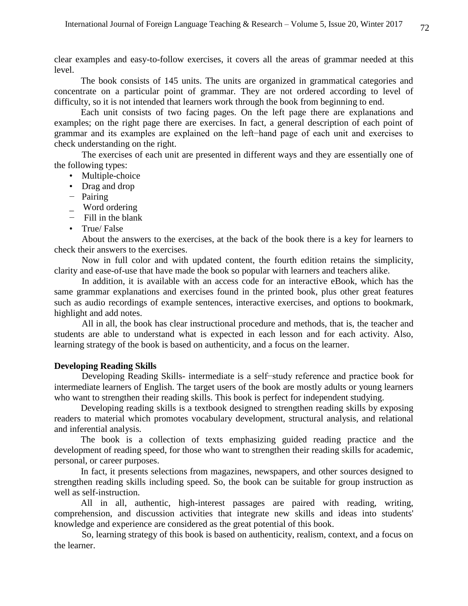clear examples and easy-to-follow exercises, it covers all the areas of grammar needed at this level.

 The book consists of 145 units. The units are organized in grammatical categories and concentrate on a particular point of grammar. They are not ordered according to level of difficulty, so it is not intended that learners work through the book from beginning to end.

 Each unit consists of two facing pages. On the left page there are explanations and examples; on the right page there are exercises. In fact, a general description of each point of grammar and its examples are explained on the left−hand page of each unit and exercises to check understanding on the right.

The exercises of each unit are presented in different ways and they are essentially one of the following types:

- Multiple-choice
- Drag and drop
- − Pairing
- \_ Word ordering
- − Fill in the blank
- True/ False

About the answers to the exercises, at the back of the book there is a key for learners to check their answers to the exercises.

Now in full color and with updated content, the fourth edition retains the simplicity, clarity and ease-of-use that have made the book so popular with learners and teachers alike.

In addition, it is available with an access code for an interactive eBook, which has the same grammar explanations and exercises found in the printed book, plus other great features such as audio recordings of example sentences, interactive exercises, and options to bookmark, highlight and add notes.

All in all, the book has clear instructional procedure and methods, that is, the teacher and students are able to understand what is expected in each lesson and for each activity. Also, learning strategy of the book is based on authenticity, and a focus on the learner.

## **Developing Reading Skills**

Developing Reading Skills- intermediate is a self−study reference and practice book for intermediate learners of English. The target users of the book are mostly adults or young learners who want to strengthen their reading skills. This book is perfect for independent studying.

 Developing reading skills is a textbook designed to strengthen reading skills by exposing readers to material which promotes vocabulary development, structural analysis, and relational and inferential analysis.

 The book is a collection of texts emphasizing guided reading practice and the development of reading speed, for those who want to strengthen their reading skills for academic, personal, or career purposes.

 In fact, it presents selections from magazines, newspapers, and other sources designed to strengthen reading skills including speed. So, the book can be suitable for group instruction as well as self-instruction.

 All in all, authentic, high-interest passages are paired with reading, writing, comprehension, and discussion activities that integrate new skills and ideas into students' knowledge and experience are considered as the great potential of this book.

So, learning strategy of this book is based on authenticity, realism, context, and a focus on the learner.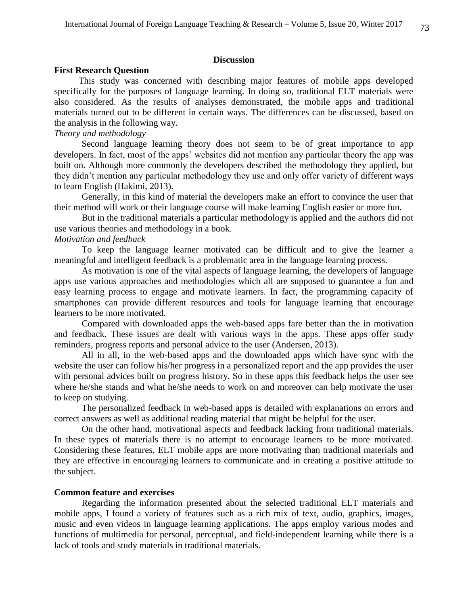## **Discussion**

#### **First Research Question**

 This study was concerned with describing major features of mobile apps developed specifically for the purposes of language learning. In doing so, traditional ELT materials were also considered. As the results of analyses demonstrated, the mobile apps and traditional materials turned out to be different in certain ways. The differences can be discussed, based on the analysis in the following way.

## *Theory and methodology*

Second language learning theory does not seem to be of great importance to app developers. In fact, most of the apps' websites did not mention any particular theory the app was built on. Although more commonly the developers described the methodology they applied, but they didn't mention any particular methodology they use and only offer variety of different ways to learn English (Hakimi, 2013).

Generally, in this kind of material the developers make an effort to convince the user that their method will work or their language course will make learning English easier or more fun.

But in the traditional materials a particular methodology is applied and the authors did not use various theories and methodology in a book.

#### *Motivation and feedback*

To keep the language learner motivated can be difficult and to give the learner a meaningful and intelligent feedback is a problematic area in the language learning process.

As motivation is one of the vital aspects of language learning, the developers of language apps use various approaches and methodologies which all are supposed to guarantee a fun and easy learning process to engage and motivate learners. In fact, the programming capacity of smartphones can provide different resources and tools for language learning that encourage learners to be more motivated.

Compared with downloaded apps the web-based apps fare better than the in motivation and feedback. These issues are dealt with various ways in the apps. These apps offer study reminders, progress reports and personal advice to the user (Andersen, 2013).

All in all, in the web-based apps and the downloaded apps which have sync with the website the user can follow his/her progress in a personalized report and the app provides the user with personal advices built on progress history. So in these apps this feedback helps the user see where he/she stands and what he/she needs to work on and moreover can help motivate the user to keep on studying.

The personalized feedback in web-based apps is detailed with explanations on errors and correct answers as well as additional reading material that might be helpful for the user.

On the other hand, motivational aspects and feedback lacking from traditional materials. In these types of materials there is no attempt to encourage learners to be more motivated. Considering these features, ELT mobile apps are more motivating than traditional materials and they are effective in encouraging learners to communicate and in creating a positive attitude to the subject.

#### **Common feature and exercises**

Regarding the information presented about the selected traditional ELT materials and mobile apps, I found a variety of features such as a rich mix of text, audio, graphics, images, music and even videos in language learning applications. The apps employ various modes and functions of multimedia for personal, perceptual, and field-independent learning while there is a lack of tools and study materials in traditional materials.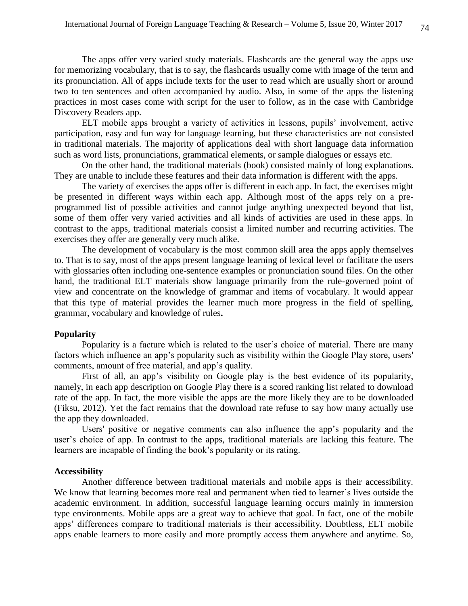The apps offer very varied study materials. Flashcards are the general way the apps use for memorizing vocabulary, that is to say, the flashcards usually come with image of the term and its pronunciation. All of apps include texts for the user to read which are usually short or around two to ten sentences and often accompanied by audio. Also, in some of the apps the listening practices in most cases come with script for the user to follow, as in the case with Cambridge Discovery Readers app.

ELT mobile apps brought a variety of activities in lessons, pupils' involvement, active participation, easy and fun way for language learning, but these characteristics are not consisted in traditional materials. The majority of applications deal with short language data information such as word lists, pronunciations, grammatical elements, or sample dialogues or essays etc.

On the other hand, the traditional materials (book) consisted mainly of long explanations. They are unable to include these features and their data information is different with the apps.

The variety of exercises the apps offer is different in each app. In fact, the exercises might be presented in different ways within each app. Although most of the apps rely on a preprogrammed list of possible activities and cannot judge anything unexpected beyond that list, some of them offer very varied activities and all kinds of activities are used in these apps. In contrast to the apps, traditional materials consist a limited number and recurring activities. The exercises they offer are generally very much alike.

The development of vocabulary is the most common skill area the apps apply themselves to. That is to say, most of the apps present language learning of lexical level or facilitate the users with glossaries often including one-sentence examples or pronunciation sound files. On the other hand, the traditional ELT materials show language primarily from the rule-governed point of view and concentrate on the knowledge of grammar and items of vocabulary. It would appear that this type of material provides the learner much more progress in the field of spelling, grammar, vocabulary and knowledge of rules**.**

#### **Popularity**

Popularity is a facture which is related to the user's choice of material. There are many factors which influence an app's popularity such as visibility within the Google Play store, users' comments, amount of free material, and app's quality.

First of all, an app's visibility on Google play is the best evidence of its popularity, namely, in each app description on Google Play there is a scored ranking list related to download rate of the app. In fact, the more visible the apps are the more likely they are to be downloaded (Fiksu, 2012). Yet the fact remains that the download rate refuse to say how many actually use the app they downloaded.

Users' positive or negative comments can also influence the app's popularity and the user's choice of app. In contrast to the apps, traditional materials are lacking this feature. The learners are incapable of finding the book's popularity or its rating.

# **Accessibility**

Another difference between traditional materials and mobile apps is their accessibility. We know that learning becomes more real and permanent when tied to learner's lives outside the academic environment. In addition, successful language learning occurs mainly in immersion type environments. Mobile apps are a great way to achieve that goal. In fact, one of the mobile apps' differences compare to traditional materials is their accessibility. Doubtless, ELT mobile apps enable learners to more easily and more promptly access them anywhere and anytime. So,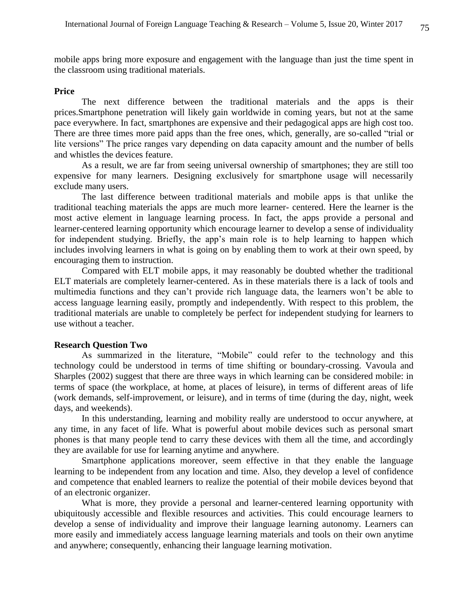mobile apps bring more exposure and engagement with the language than just the time spent in the classroom using traditional materials.

#### **Price**

The next difference between the traditional materials and the apps is their prices.Smartphone penetration will likely gain worldwide in coming years, but not at the same pace everywhere. In fact, smartphones are expensive and their pedagogical apps are high cost too. There are three times more paid apps than the free ones, which, generally, are so-called "trial or lite versions" The price ranges vary depending on data capacity amount and the number of bells and whistles the devices feature.

As a result, we are far from seeing universal ownership of smartphones; they are still too expensive for many learners. Designing exclusively for smartphone usage will necessarily exclude many users.

The last difference between traditional materials and mobile apps is that unlike the traditional teaching materials the apps are much more learner- centered. Here the learner is the most active element in language learning process. In fact, the apps provide a personal and learner-centered learning opportunity which encourage learner to develop a sense of individuality for independent studying. Briefly, the app's main role is to help learning to happen which includes involving learners in what is going on by enabling them to work at their own speed, by encouraging them to instruction.

Compared with ELT mobile apps, it may reasonably be doubted whether the traditional ELT materials are completely learner-centered. As in these materials there is a lack of tools and multimedia functions and they can't provide rich language data, the learners won't be able to access language learning easily, promptly and independently. With respect to this problem, the traditional materials are unable to completely be perfect for independent studying for learners to use without a teacher.

# **Research Question Two**

As summarized in the literature, "Mobile" could refer to the technology and this technology could be understood in terms of time shifting or boundary-crossing. Vavoula and Sharples (2002) suggest that there are three ways in which learning can be considered mobile: in terms of space (the workplace, at home, at places of leisure), in terms of different areas of life (work demands, self-improvement, or leisure), and in terms of time (during the day, night, week days, and weekends).

In this understanding, learning and mobility really are understood to occur anywhere, at any time, in any facet of life. What is powerful about mobile devices such as personal smart phones is that many people tend to carry these devices with them all the time, and accordingly they are available for use for learning anytime and anywhere.

Smartphone applications moreover, seem effective in that they enable the language learning to be independent from any location and time. Also, they develop a level of confidence and competence that enabled learners to realize the potential of their mobile devices beyond that of an electronic organizer.

What is more, they provide a personal and learner-centered learning opportunity with ubiquitously accessible and flexible resources and activities. This could encourage learners to develop a sense of individuality and improve their language learning autonomy. Learners can more easily and immediately access language learning materials and tools on their own anytime and anywhere; consequently, enhancing their language learning motivation.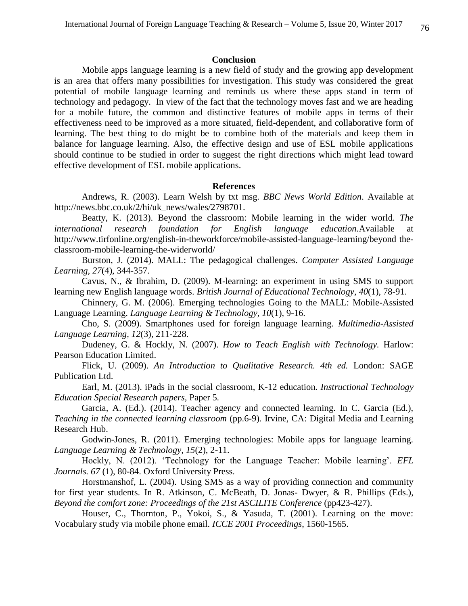#### **Conclusion**

Mobile apps language learning is a new field of study and the growing app development is an area that offers many possibilities for investigation. This study was considered the great potential of mobile language learning and reminds us where these apps stand in term of technology and pedagogy. In view of the fact that the technology moves fast and we are heading for a mobile future, the common and distinctive features of mobile apps in terms of their effectiveness need to be improved as a more situated, field-dependent, and collaborative form of learning. The best thing to do might be to combine both of the materials and keep them in balance for language learning. Also, the effective design and use of ESL mobile applications should continue to be studied in order to suggest the right directions which might lead toward effective development of ESL mobile applications.

#### **References**

Andrews, R. (2003). Learn Welsh by txt msg. *BBC News World Edition*. Available at [http://news.bbc.co.uk/2/hi/uk\\_news/wales/2798701.](http://news.bbc.co.uk/2/hi/uk_news/wales/2798701)

Beatty, K. (2013). Beyond the classroom: Mobile learning in the wider world. *The international research foundation for English language education.*Available at <http://www.tirfonline.org/english-in-theworkforce/mobile-assisted-language-learning/beyond> theclassroom-mobile-learning-the-widerworld/

Burston, J. (2014). MALL: The pedagogical challenges. *Computer Assisted Language Learning, 27*(4), 344-357.

Cavus, N., & Ibrahim, D. (2009). M-learning: an experiment in using SMS to support learning new English language words. *British Journal of Educational Technology*, *40*(1), 78-91.

Chinnery, G. M. (2006). Emerging technologies Going to the MALL: Mobile-Assisted Language Learning. *Language Learning & Technology, 10*(1), 9-16.

Cho, S. (2009). Smartphones used for foreign language learning. *Multimedia-Assisted Language Learning, 12*(3), 211-228.

Dudeney, G. & Hockly, N. (2007). *How to Teach English with Technology.* Harlow: Pearson Education Limited.

Flick, U. (2009). *An Introduction to Qualitative Research. 4th ed.* London: SAGE Publication Ltd.

Earl, M. (2013). iPads in the social classroom, K-12 education. *Instructional Technology Education Special Research papers,* Paper 5*.* 

Garcia, A. (Ed.). (2014). Teacher agency and connected learning. In C. Garcia (Ed.), *Teaching in the connected learning classroom* (pp.6-9)*.* Irvine, CA: Digital Media and Learning Research Hub.

Godwin-Jones, R. (2011). Emerging technologies: Mobile apps for language learning. *Language Learning & Technology, 15*(2), 2-11.

Hockly, N. (2012). 'Technology for the Language Teacher: Mobile learning'. *EFL Journals. 67* (1), 80-84. Oxford University Press.

Horstmanshof, L. (2004). Using SMS as a way of providing connection and community for first year students. In R. Atkinson, C. McBeath, D. Jonas- Dwyer, & R. Phillips (Eds.), *Beyond the comfort zone: Proceedings of the 21st ASCILITE Conference* (pp423-427).

Houser, C., Thornton, P., Yokoi, S., & Yasuda, T. (2001). Learning on the move: Vocabulary study via mobile phone email. *ICCE 2001 Proceedings*, 1560-1565.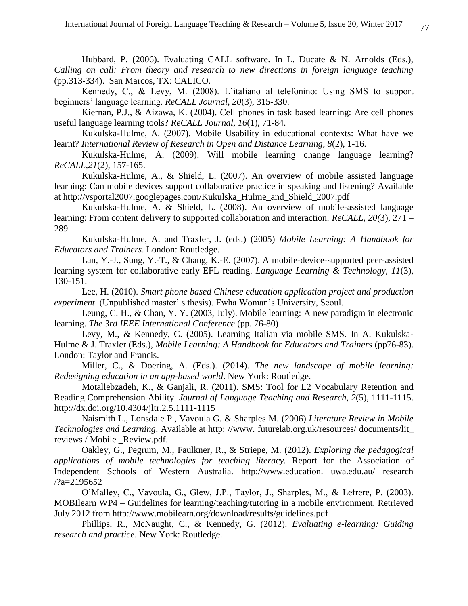Hubbard, P. (2006). Evaluating CALL software. In L. Ducate & N. Arnolds (Eds.), *Calling on call: From theory and research to new directions in foreign language teaching*  (pp.313-334). San Marcos, TX: CALICO.

Kennedy, C., & Levy, M. (2008). L'italiano al telefonino: Using SMS to support beginners' language learning. *ReCALL Journal, 20*(3), 315-330.

Kiernan, P.J., & Aizawa, K. (2004). Cell phones in task based learning: Are cell phones useful language learning tools? *ReCALL Journal, 16*(1), 71-84.

Kukulska-Hulme, A. (2007). Mobile Usability in educational contexts: What have we learnt? *International Review of Research in Open and Distance Learning, 8*(2), 1-16.

Kukulska-Hulme, A. (2009). Will mobile learning change language learning? *ReCALL,21*(2), 157-165.

Kukulska-Hulme, A., & Shield, L. (2007). An overview of mobile assisted language learning: Can mobile devices support collaborative practice in speaking and listening? Available at http://vsportal2007.googlepages.com/Kukulska\_Hulme\_and\_Shield\_2007.pdf

Kukulska-Hulme, A. & Shield, L. (2008). An overview of mobile-assisted language learning: From content delivery to supported collaboration and interaction. *ReCALL, 20(*3), 271 – 289.

Kukulska-Hulme, A. and Traxler, J. (eds.) (2005) *Mobile Learning: A Handbook for Educators and Trainers*. London: Routledge.

Lan, Y.-J., Sung, Y.-T., & Chang, K.-E. (2007). A mobile-device-supported peer-assisted learning system for collaborative early EFL reading. *Language Learning & Technology, 11*(3), 130-151.

Lee, H. (2010). *Smart phone based Chinese education application project and production experiment*. (Unpublished master' s thesis). Ewha Woman's University, Seoul.

Leung, C. H., & Chan, Y. Y. (2003, July). Mobile learning: A new paradigm in electronic learning. *The 3rd IEEE International Conference* (pp. 76-80)

Levy, M., & Kennedy, C. (2005). Learning Italian via mobile SMS. In A. Kukulska-Hulme & J. Traxler (Eds.), *Mobile Learning: A Handbook for Educators and Trainers* (pp76-83). London: Taylor and Francis.

Miller, C., & Doering, A. (Eds.). (2014). *The new landscape of mobile learning: Redesigning education in an app-based world*. New York: Routledge.

Motallebzadeh, K., & Ganjali, R. (2011). SMS: Tool for L2 Vocabulary Retention and Reading Comprehension Ability. *Journal of Language Teaching and Research, 2*(5), 1111-1115. <http://dx.doi.org/10.4304/jltr.2.5.1111-1115>

Naismith L., Lonsdale P., Vavoula G. & Sharples M. (2006) *Literature Review in Mobile Technologies and Learning*. Available at http: //www. [futurelab.org.uk/resources/](http://www.futurelab.org.uk/resources/) documents/lit\_ reviews / Mobile \_Review.pdf.

Oakley, G., Pegrum, M., Faulkner, R., & Striepe, M. (2012). *Exploring the pedagogical applications of mobile technologies for teaching literacy.* Report for the Association of Independent Schools of Western Australia. http://www.education. uwa.edu.au/ research /?a=2195652

O'Malley, C., Vavoula, G., Glew, J.P., Taylor, J., Sharples, M., & Lefrere, P. (2003). MOBIlearn WP4 – Guidelines for learning/teaching/tutoring in a mobile environment. Retrieved July 2012 from<http://www.mobilearn.org/download/results/guidelines.pdf>

Phillips, R., McNaught, C., & Kennedy, G. (2012). *Evaluating e-learning: Guiding research and practice*. New York: Routledge.